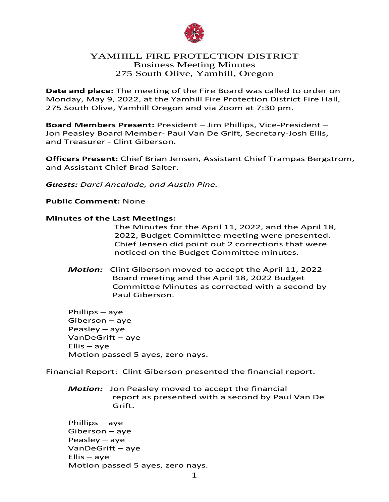

# YAMHILL FIRE PROTECTION DISTRICT Business Meeting Minutes 275 South Olive, Yamhill, Oregon

**Date and place:** The meeting of the Fire Board was called to order on Monday, May 9, 2022, at the Yamhill Fire Protection District Fire Hall, 275 South Olive, Yamhill Oregon and via Zoom at 7:30 pm.

**Board Members Present:** President – Jim Phillips, Vice-President – Jon Peasley Board Member- Paul Van De Grift, Secretary-Josh Ellis, and Treasurer - Clint Giberson.

**Officers Present:** Chief Brian Jensen, Assistant Chief Trampas Bergstrom, and Assistant Chief Brad Salter.

*Guests: Darci Ancalade, and Austin Pine.*

**Public Comment:** None

### **Minutes of the Last Meetings:**

The Minutes for the April 11, 2022, and the April 18, 2022, Budget Committee meeting were presented. Chief Jensen did point out 2 corrections that were noticed on the Budget Committee minutes.

*Motion:* Clint Giberson moved to accept the April 11, 2022 Board meeting and the April 18, 2022 Budget Committee Minutes as corrected with a second by Paul Giberson.

Phillips – aye Giberson – aye Peasley – aye VanDeGrift – aye  $Ellis - aye$ Motion passed 5 ayes, zero nays.

Financial Report: Clint Giberson presented the financial report.

*Motion:* Jon Peasley moved to accept the financial report as presented with a second by Paul Van De Grift.

Phillips – aye Giberson – aye Peasley – aye VanDeGrift – aye Ellis – aye Motion passed 5 ayes, zero nays.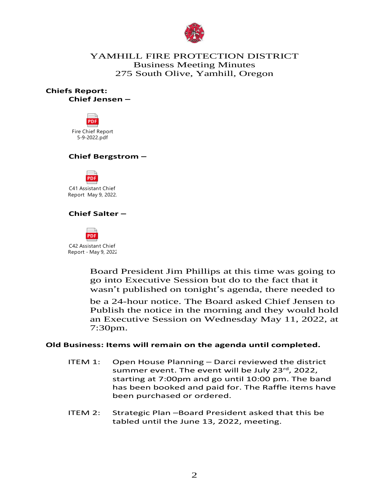

# YAMHILL FIRE PROTECTION DISTRICT Business Meeting Minutes 275 South Olive, Yamhill, Oregon

**Chiefs Report: Chief Jensen –**



## **Chief Bergstrom –**



C41 Assistant Chief Report May 9, 2022.

## **Chief Salter –**



C42 Assistant Chief Report - May 9, 2022

> Board President Jim Phillips at this time was going to go into Executive Session but do to the fact that it wasn't published on tonight's agenda, there needed to

> be a 24-hour notice. The Board asked Chief Jensen to Publish the notice in the morning and they would hold an Executive Session on Wednesday May 11, 2022, at 7:30pm.

### **Old Business: Items will remain on the agenda until completed.**

- ITEM 1: Open House Planning Darci reviewed the district summer event. The event will be July 23rd, 2022, starting at 7:00pm and go until 10:00 pm. The band has been booked and paid for. The Raffle items have been purchased or ordered.
- ITEM 2: Strategic Plan –Board President asked that this be tabled until the June 13, 2022, meeting.